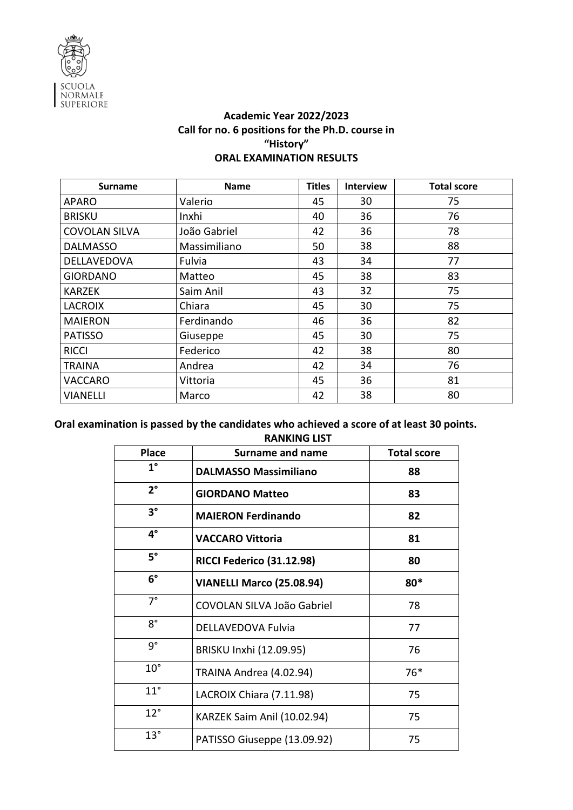

## **Academic Year 2022/2023 Call for no. 6 positions for the Ph.D. course in "History" ORAL EXAMINATION RESULTS**

| <b>Surname</b>       | <b>Name</b>  | <b>Titles</b> | <b>Interview</b> | <b>Total score</b> |
|----------------------|--------------|---------------|------------------|--------------------|
| <b>APARO</b>         | Valerio      | 45            | 30               | 75                 |
| <b>BRISKU</b>        | Inxhi        | 40            | 36               | 76                 |
| <b>COVOLAN SILVA</b> | João Gabriel | 42            | 36               | 78                 |
| <b>DALMASSO</b>      | Massimiliano | 50            | 38               | 88                 |
| <b>DELLAVEDOVA</b>   | Fulvia       | 43            | 34               | 77                 |
| <b>GIORDANO</b>      | Matteo       | 45            | 38               | 83                 |
| <b>KARZEK</b>        | Saim Anil    | 43            | 32               | 75                 |
| <b>LACROIX</b>       | Chiara       | 45            | 30               | 75                 |
| <b>MAIERON</b>       | Ferdinando   | 46            | 36               | 82                 |
| <b>PATISSO</b>       | Giuseppe     | 45            | 30               | 75                 |
| <b>RICCI</b>         | Federico     | 42            | 38               | 80                 |
| <b>TRAINA</b>        | Andrea       | 42            | 34               | 76                 |
| VACCARO              | Vittoria     | 45            | 36               | 81                 |
| <b>VIANELLI</b>      | Marco        | 42            | 38               | 80                 |

## **Oral examination is passed by the candidates who achieved a score of at least 30 points. RANKING LIST**

| <b>Place</b> | <b>Surname and name</b>      | <b>Total score</b> |
|--------------|------------------------------|--------------------|
| $1^{\circ}$  | <b>DALMASSO Massimiliano</b> | 88                 |
| $2^{\circ}$  | <b>GIORDANO Matteo</b>       | 83                 |
| $3^\circ$    | <b>MAIERON Ferdinando</b>    | 82                 |
| $4^{\circ}$  | <b>VACCARO Vittoria</b>      | 81                 |
| $5^\circ$    | RICCI Federico (31.12.98)    | 80                 |
| $6^{\circ}$  | VIANELLI Marco (25.08.94)    | 80*                |
| $7^\circ$    | COVOLAN SILVA João Gabriel   | 78                 |
| $8^{\circ}$  | DELLAVEDOVA Fulvia           | 77                 |
| $9^{\circ}$  | BRISKU Inxhi (12.09.95)      | 76                 |
| $10^{\circ}$ | TRAINA Andrea (4.02.94)      | 76*                |
| $11^{\circ}$ | LACROIX Chiara (7.11.98)     | 75                 |
| $12^{\circ}$ | KARZEK Saim Anil (10.02.94)  | 75                 |
| $13^\circ$   | PATISSO Giuseppe (13.09.92)  | 75                 |